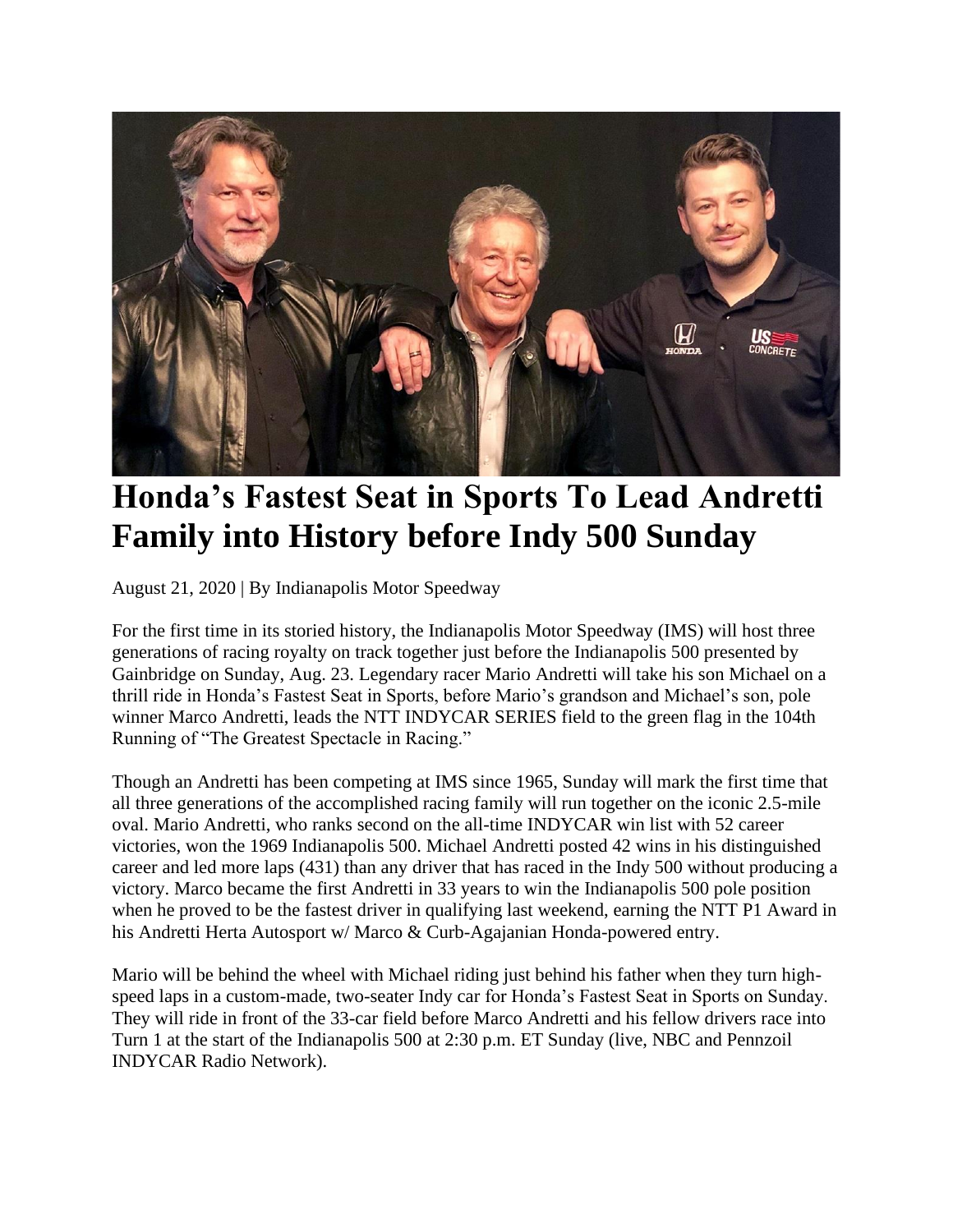

## **Honda's Fastest Seat in Sports To Lead Andretti Family into History before Indy 500 Sunday**

August 21, 2020 | By Indianapolis Motor Speedway

For the first time in its storied history, the Indianapolis Motor Speedway (IMS) will host three generations of racing royalty on track together just before the Indianapolis 500 presented by Gainbridge on Sunday, Aug. 23. Legendary racer Mario Andretti will take his son Michael on a thrill ride in Honda's Fastest Seat in Sports, before Mario's grandson and Michael's son, pole winner Marco Andretti, leads the NTT INDYCAR SERIES field to the green flag in the 104th Running of "The Greatest Spectacle in Racing."

Though an Andretti has been competing at IMS since 1965, Sunday will mark the first time that all three generations of the accomplished racing family will run together on the iconic 2.5-mile oval. Mario Andretti, who ranks second on the all-time INDYCAR win list with 52 career victories, won the 1969 Indianapolis 500. Michael Andretti posted 42 wins in his distinguished career and led more laps (431) than any driver that has raced in the Indy 500 without producing a victory. Marco became the first Andretti in 33 years to win the Indianapolis 500 pole position when he proved to be the fastest driver in qualifying last weekend, earning the NTT P1 Award in his Andretti Herta Autosport w/ Marco & Curb-Agajanian Honda-powered entry.

Mario will be behind the wheel with Michael riding just behind his father when they turn highspeed laps in a custom-made, two-seater Indy car for Honda's Fastest Seat in Sports on Sunday. They will ride in front of the 33-car field before Marco Andretti and his fellow drivers race into Turn 1 at the start of the Indianapolis 500 at 2:30 p.m. ET Sunday (live, NBC and Pennzoil INDYCAR Radio Network).